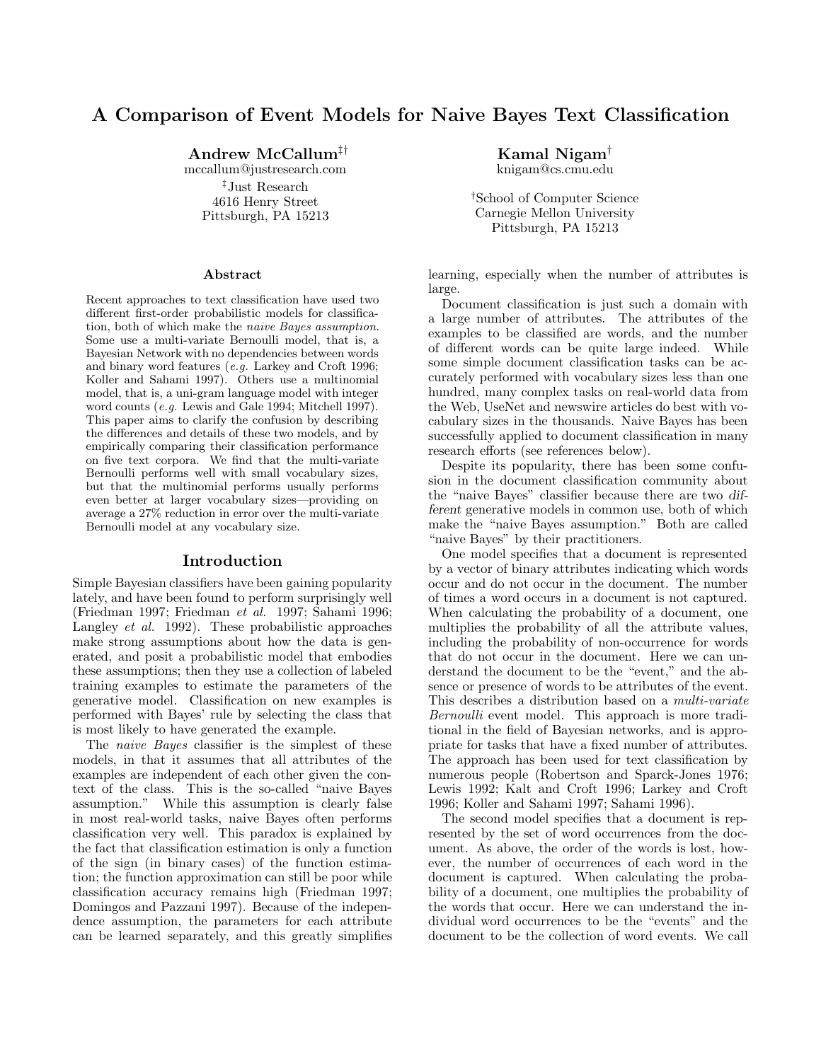# **A Comparison of Event Models for Naive Bayes Text Classification**

**Andrew McCallum**‡†

mccallum@justresearch.com ‡Just Research 4616 Henry Street Pittsburgh, PA 15213

#### **Abstract**

Recent approaches to text classification have used two different first-order probabilistic models for classification, both of which make the naive Bayes assumption. Some use a multi-variate Bernoulli model, that is, a Bayesian Network with no dependencies between words and binary word features (e.g. Larkey and Croft 1996; Koller and Sahami 1997). Others use a multinomial model, that is, a uni-gram language model with integer word counts (e.g. Lewis and Gale 1994; Mitchell 1997). This paper aims to clarify the confusion by describing the differences and details of these two models, and by empirically comparing their classification performance on five text corpora. We find that the multi-variate Bernoulli performs well with small vocabulary sizes, but that the multinomial performs usually performs even better at larger vocabulary sizes—providing on average a 27% reduction in error over the multi-variate Bernoulli model at any vocabulary size.

#### **Introduction**

Simple Bayesian classifiers have been gaining popularity lately, and have been found to perform surprisingly well (Friedman 1997; Friedman et al. 1997; Sahami 1996; Langley et al. 1992). These probabilistic approaches make strong assumptions about how the data is generated, and posit a probabilistic model that embodies these assumptions; then they use a collection of labeled training examples to estimate the parameters of the generative model. Classification on new examples is performed with Bayes' rule by selecting the class that is most likely to have generated the example.

The *naive Bayes* classifier is the simplest of these models, in that it assumes that all attributes of the examples are independent of each other given the context of the class. This is the so-called "naive Bayes assumption." While this assumption is clearly false in most real-world tasks, naive Bayes often performs classification very well. This paradox is explained by the fact that classification estimation is only a function of the sign (in binary cases) of the function estimation; the function approximation can still be poor while classification accuracy remains high (Friedman 1997; Domingos and Pazzani 1997). Because of the independence assumption, the parameters for each attribute can be learned separately, and this greatly simplifies

**Kamal Nigam**†

knigam@cs.cmu.edu

†School of Computer Science Carnegie Mellon University Pittsburgh, PA 15213

learning, especially when the number of attributes is large.

Document classification is just such a domain with a large number of attributes. The attributes of the examples to be classified are words, and the number of different words can be quite large indeed. While some simple document classification tasks can be accurately performed with vocabulary sizes less than one hundred, many complex tasks on real-world data from the Web, UseNet and newswire articles do best with vocabulary sizes in the thousands. Naive Bayes has been successfully applied to document classification in many research efforts (see references below).

Despite its popularity, there has been some confusion in the document classification community about the "naive Bayes" classifier because there are two *different* generative models in common use, both of which make the "naive Bayes assumption." Both are called "naive Bayes" by their practitioners.

One model specifies that a document is represented by a vector of binary attributes indicating which words occur and do not occur in the document. The number of times a word occurs in a document is not captured. When calculating the probability of a document, one multiplies the probability of all the attribute values, including the probability of non-occurrence for words that do not occur in the document. Here we can understand the document to be the "event," and the absence or presence of words to be attributes of the event. This describes a distribution based on a multi-variate Bernoulli event model. This approach is more traditional in the field of Bayesian networks, and is appropriate for tasks that have a fixed number of attributes. The approach has been used for text classification by numerous people (Robertson and Sparck-Jones 1976; Lewis 1992; Kalt and Croft 1996; Larkey and Croft 1996; Koller and Sahami 1997; Sahami 1996).

The second model specifies that a document is represented by the set of word occurrences from the document. As above, the order of the words is lost, however, the number of occurrences of each word in the document is captured. When calculating the probability of a document, one multiplies the probability of the words that occur. Here we can understand the individual word occurrences to be the "events" and the document to be the collection of word events. We call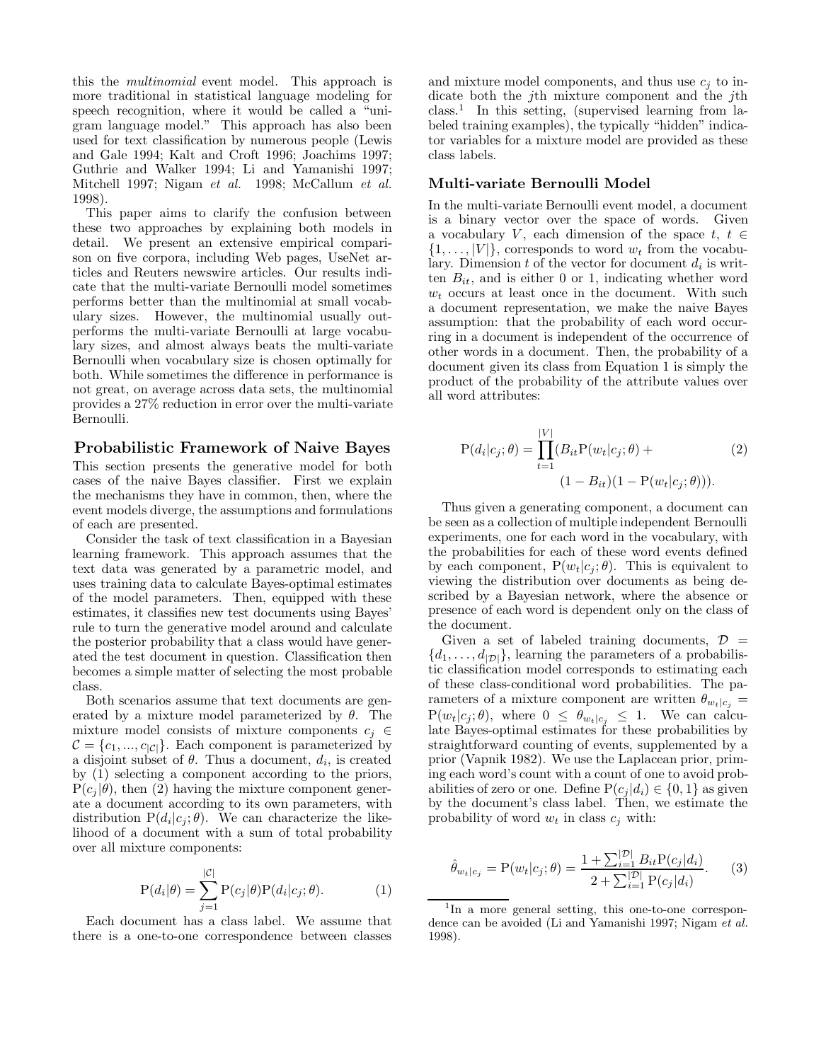this the multinomial event model. This approach is more traditional in statistical language modeling for speech recognition, where it would be called a "unigram language model." This approach has also been used for text classification by numerous people (Lewis and Gale 1994; Kalt and Croft 1996; Joachims 1997; Guthrie and Walker 1994; Li and Yamanishi 1997; Mitchell 1997; Nigam et al. 1998; McCallum et al. 1998).

This paper aims to clarify the confusion between these two approaches by explaining both models in detail. We present an extensive empirical comparison on five corpora, including Web pages, UseNet articles and Reuters newswire articles. Our results indicate that the multi-variate Bernoulli model sometimes performs better than the multinomial at small vocabulary sizes. However, the multinomial usually outperforms the multi-variate Bernoulli at large vocabulary sizes, and almost always beats the multi-variate Bernoulli when vocabulary size is chosen optimally for both. While sometimes the difference in performance is not great, on average across data sets, the multinomial provides a 27% reduction in error over the multi-variate Bernoulli.

#### **Probabilistic Framework of Naive Bayes**

This section presents the generative model for both cases of the naive Bayes classifier. First we explain the mechanisms they have in common, then, where the event models diverge, the assumptions and formulations of each are presented.

Consider the task of text classification in a Bayesian learning framework. This approach assumes that the text data was generated by a parametric model, and uses training data to calculate Bayes-optimal estimates of the model parameters. Then, equipped with these estimates, it classifies new test documents using Bayes' rule to turn the generative model around and calculate the posterior probability that a class would have generated the test document in question. Classification then becomes a simple matter of selecting the most probable class.

Both scenarios assume that text documents are generated by a mixture model parameterized by  $\theta$ . The mixture model consists of mixture components  $c_i \in$  $C = \{c_1, ..., c_{|\mathcal{C}|}\}.$  Each component is parameterized by a disjoint subset of  $\theta$ . Thus a document,  $d_i$ , is created by (1) selecting a component according to the priors,  $P(c_i | \theta)$ , then (2) having the mixture component generate a document according to its own parameters, with distribution  $P(d_i|c_i;\theta)$ . We can characterize the likelihood of a document with a sum of total probability over all mixture components:

$$
P(d_i|\theta) = \sum_{j=1}^{|\mathcal{C}|} P(c_j|\theta) P(d_i|c_j; \theta).
$$
 (1)

Each document has a class label. We assume that there is a one-to-one correspondence between classes and mixture model components, and thus use  $c_i$  to indicate both the *j*th mixture component and the *j*th class.<sup>1</sup> In this setting, (supervised learning from labeled training examples), the typically "hidden" indicator variables for a mixture model are provided as these class labels.

## **Multi-variate Bernoulli Model**

In the multi-variate Bernoulli event model, a document is a binary vector over the space of words. Given a vocabulary V, each dimension of the space  $t, t \in$  $\{1,\ldots, |V|\}$ , corresponds to word  $w_t$  from the vocabulary. Dimension  $t$  of the vector for document  $d_i$  is written  $B_{it}$ , and is either 0 or 1, indicating whether word  $w_t$  occurs at least once in the document. With such a document representation, we make the naive Bayes assumption: that the probability of each word occurring in a document is independent of the occurrence of other words in a document. Then, the probability of a document given its class from Equation 1 is simply the product of the probability of the attribute values over all word attributes:

$$
P(d_i|c_j; \theta) = \prod_{t=1}^{|V|} (B_{it}P(w_t|c_j; \theta) +
$$
  
(1 - B<sub>it</sub>)(1 - P(w<sub>t</sub>|c<sub>j</sub>; \theta))). (2)

Thus given a generating component, a document can be seen as a collection of multiple independent Bernoulli experiments, one for each word in the vocabulary, with the probabilities for each of these word events defined by each component,  $P(w_t|c_j;\theta)$ . This is equivalent to viewing the distribution over documents as being described by a Bayesian network, where the absence or presence of each word is dependent only on the class of the document.

Given a set of labeled training documents,  $\mathcal{D}$  =  $\{d_1,\ldots,d_{|\mathcal{D}|}\}\$ , learning the parameters of a probabilistic classification model corresponds to estimating each of these class-conditional word probabilities. The parameters of a mixture component are written  $\theta_{w_t|c_j} =$  $P(w_t|c_j;\theta)$ , where  $0 \leq \theta_{w_t|c_i} \leq 1$ . We can calculate Bayes-optimal estimates for these probabilities by straightforward counting of events, supplemented by a prior (Vapnik 1982). We use the Laplacean prior, priming each word's count with a count of one to avoid probabilities of zero or one. Define  $P(c_i|d_i) \in \{0,1\}$  as given by the document's class label. Then, we estimate the probability of word  $w_t$  in class  $c_j$  with:

$$
\hat{\theta}_{w_t|c_j} = P(w_t|c_j; \theta) = \frac{1 + \sum_{i=1}^{|\mathcal{D}|} B_{it} P(c_j|d_i)}{2 + \sum_{i=1}^{|\mathcal{D}|} P(c_j|d_i)}.
$$
(3)

<sup>&</sup>lt;sup>1</sup>In a more general setting, this one-to-one correspondence can be avoided (Li and Yamanishi 1997; Nigam et al. 1998).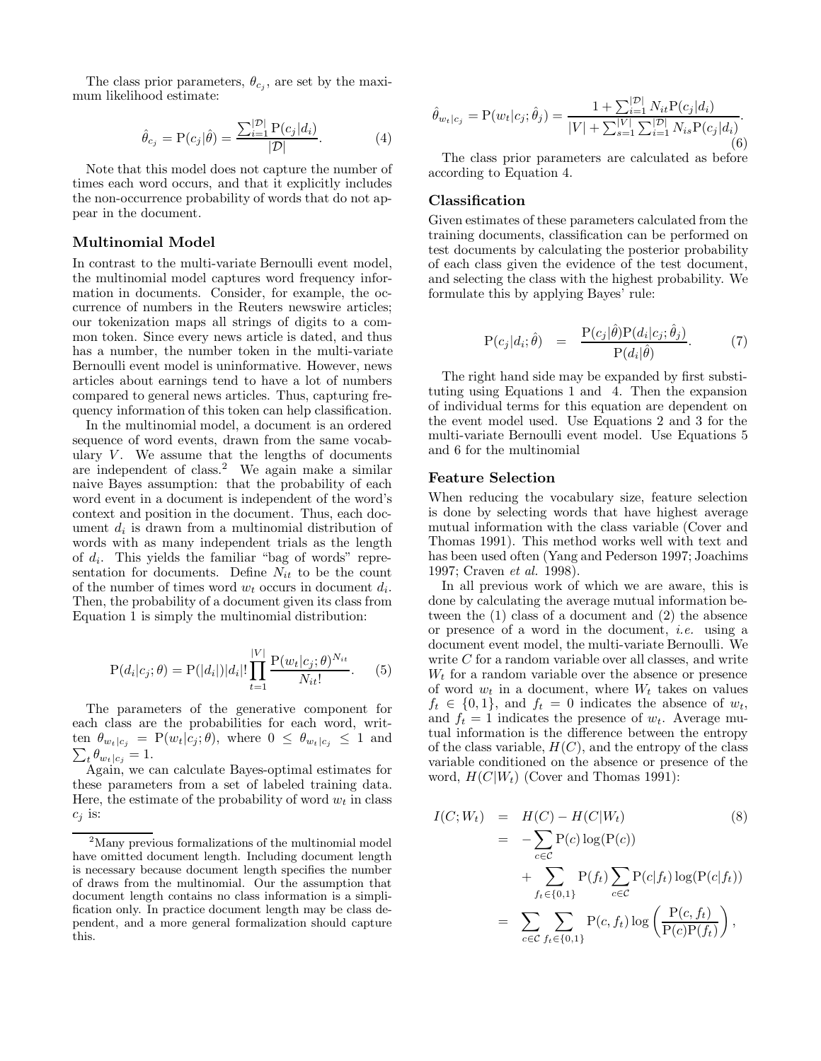The class prior parameters,  $\theta_{c_i}$ , are set by the maximum likelihood estimate:

$$
\hat{\theta}_{c_j} = P(c_j|\hat{\theta}) = \frac{\sum_{i=1}^{|\mathcal{D}|} P(c_j|d_i)}{|\mathcal{D}|}.
$$
 (4)

Note that this model does not capture the number of times each word occurs, and that it explicitly includes the non-occurrence probability of words that do not appear in the document.

#### **Multinomial Model**

In contrast to the multi-variate Bernoulli event model, the multinomial model captures word frequency information in documents. Consider, for example, the occurrence of numbers in the Reuters newswire articles; our tokenization maps all strings of digits to a common token. Since every news article is dated, and thus has a number, the number token in the multi-variate Bernoulli event model is uninformative. However, news articles about earnings tend to have a lot of numbers compared to general news articles. Thus, capturing frequency information of this token can help classification.

In the multinomial model, a document is an ordered sequence of word events, drawn from the same vocabulary  $V$ . We assume that the lengths of documents are independent of class.<sup>2</sup> We again make a similar naive Bayes assumption: that the probability of each word event in a document is independent of the word's context and position in the document. Thus, each document  $d_i$  is drawn from a multinomial distribution of words with as many independent trials as the length of  $d_i$ . This yields the familiar "bag of words" representation for documents. Define  $N_{it}$  to be the count of the number of times word  $w_t$  occurs in document  $d_i$ . Then, the probability of a document given its class from Equation 1 is simply the multinomial distribution:

$$
P(d_i|c_j; \theta) = P(|d_i|)|d_i|! \prod_{t=1}^{|V|} \frac{P(w_t|c_j; \theta)^{N_{it}}}{N_{it}!}.
$$
 (5)

The parameters of the generative component for each class are the probabilities for each word, writ- $\sum_t \theta_{w_t|c_j} = 1.$ ten  $\theta_{w_t | c_j} = P(w_t | c_j; \theta)$ , where  $0 \leq \theta_{w_t | c_j} \leq 1$  and

Again, we can calculate Bayes-optimal estimates for these parameters from a set of labeled training data. Here, the estimate of the probability of word  $w_t$  in class  $c_i$  is:

$$
\hat{\theta}_{w_t|c_j} = P(w_t|c_j; \hat{\theta}_j) = \frac{1 + \sum_{i=1}^{|\mathcal{D}|} N_{it} P(c_j|d_i)}{|V| + \sum_{s=1}^{|\mathcal{V}|} \sum_{i=1}^{|\mathcal{D}|} N_{is} P(c_j|d_i)}.
$$
\n(6)

The class prior parameters are calculated as before according to Equation 4.

#### **Classification**

Given estimates of these parameters calculated from the training documents, classification can be performed on test documents by calculating the posterior probability of each class given the evidence of the test document, and selecting the class with the highest probability. We formulate this by applying Bayes' rule:

$$
P(c_j|d_i; \hat{\theta}) = \frac{P(c_j|\hat{\theta})P(d_i|c_j; \hat{\theta}_j)}{P(d_i|\hat{\theta})}.
$$
 (7)

The right hand side may be expanded by first substituting using Equations 1 and 4. Then the expansion of individual terms for this equation are dependent on the event model used. Use Equations 2 and 3 for the multi-variate Bernoulli event model. Use Equations 5 and 6 for the multinomial

#### **Feature Selection**

When reducing the vocabulary size, feature selection is done by selecting words that have highest average mutual information with the class variable (Cover and Thomas 1991). This method works well with text and has been used often (Yang and Pederson 1997; Joachims 1997; Craven et al. 1998).

In all previous work of which we are aware, this is done by calculating the average mutual information between the (1) class of a document and (2) the absence or presence of a word in the document, i.e. using a document event model, the multi-variate Bernoulli. We write C for a random variable over all classes, and write  $W_t$  for a random variable over the absence or presence of word  $w_t$  in a document, where  $W_t$  takes on values  $f_t \in \{0, 1\}$ , and  $f_t = 0$  indicates the absence of  $w_t$ , and  $f_t = 1$  indicates the presence of  $w_t$ . Average mutual information is the difference between the entropy of the class variable,  $H(C)$ , and the entropy of the class variable conditioned on the absence or presence of the word,  $H(C|W_t)$  (Cover and Thomas 1991):

$$
I(C;Wt) = H(C) - H(C|Wt)
$$
\n
$$
= -\sum_{c \in C} P(c) \log(P(c))
$$
\n
$$
+ \sum_{f_t \in \{0,1\}} P(f_t) \sum_{c \in C} P(c|f_t) \log(P(c|f_t))
$$
\n
$$
= \sum_{c \in C} \sum_{f_t \in \{0,1\}} P(c, f_t) \log \left( \frac{P(c, f_t)}{P(c)P(f_t)} \right),
$$
\n(8)

<sup>&</sup>lt;sup>2</sup>Many previous formalizations of the multinomial model have omitted document length. Including document length is necessary because document length specifies the number of draws from the multinomial. Our the assumption that document length contains no class information is a simplification only. In practice document length may be class dependent, and a more general formalization should capture this.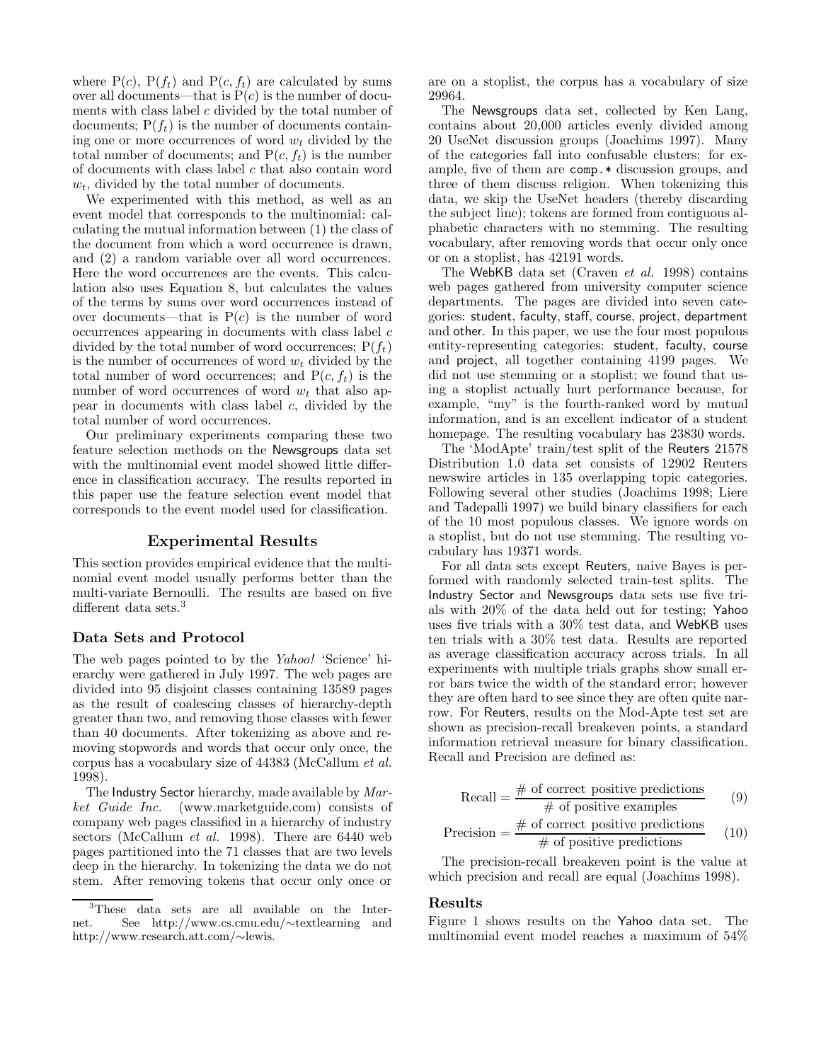where  $P(c)$ ,  $P(f_t)$  and  $P(c, f_t)$  are calculated by sums over all documents—that is  $P(c)$  is the number of documents with class label  $c$  divided by the total number of documents;  $P(f_t)$  is the number of documents containing one or more occurrences of word  $w_t$  divided by the total number of documents; and  $P(c, f_t)$  is the number of documents with class label  $c$  that also contain word  $w_t$ , divided by the total number of documents.

We experimented with this method, as well as an event model that corresponds to the multinomial: calculating the mutual information between (1) the class of the document from which a word occurrence is drawn, and (2) a random variable over all word occurrences. Here the word occurrences are the events. This calculation also uses Equation 8, but calculates the values of the terms by sums over word occurrences instead of over documents—that is  $P(c)$  is the number of word occurrences appearing in documents with class label c divided by the total number of word occurrences;  $P(f_t)$ is the number of occurrences of word  $w_t$  divided by the total number of word occurrences; and  $P(c, f_t)$  is the number of word occurrences of word  $w_t$  that also appear in documents with class label  $c$ , divided by the total number of word occurrences.

Our preliminary experiments comparing these two feature selection methods on the Newsgroups data set with the multinomial event model showed little difference in classification accuracy. The results reported in this paper use the feature selection event model that corresponds to the event model used for classification.

#### **Experimental Results**

This section provides empirical evidence that the multinomial event model usually performs better than the multi-variate Bernoulli. The results are based on five different data sets.<sup>3</sup>

#### **Data Sets and Protocol**

The web pages pointed to by the Yahoo! 'Science' hierarchy were gathered in July 1997. The web pages are divided into 95 disjoint classes containing 13589 pages as the result of coalescing classes of hierarchy-depth greater than two, and removing those classes with fewer than 40 documents. After tokenizing as above and removing stopwords and words that occur only once, the corpus has a vocabulary size of 44383 (McCallum et al. 1998).

The Industry Sector hierarchy, made available by Market Guide Inc. (www.marketguide.com) consists of company web pages classified in a hierarchy of industry sectors (McCallum et al. 1998). There are 6440 web pages partitioned into the 71 classes that are two levels deep in the hierarchy. In tokenizing the data we do not stem. After removing tokens that occur only once or

are on a stoplist, the corpus has a vocabulary of size 29964.

The Newsgroups data set, collected by Ken Lang, contains about 20,000 articles evenly divided among 20 UseNet discussion groups (Joachims 1997). Many of the categories fall into confusable clusters; for example, five of them are comp.  $*$  discussion groups, and three of them discuss religion. When tokenizing this data, we skip the UseNet headers (thereby discarding the subject line); tokens are formed from contiguous alphabetic characters with no stemming. The resulting vocabulary, after removing words that occur only once or on a stoplist, has 42191 words.

The WebKB data set (Craven et al. 1998) contains web pages gathered from university computer science departments. The pages are divided into seven categories: student, faculty, staff, course, project, department and other. In this paper, we use the four most populous entity-representing categories: student, faculty, course and project, all together containing 4199 pages. We did not use stemming or a stoplist; we found that using a stoplist actually hurt performance because, for example, "my" is the fourth-ranked word by mutual information, and is an excellent indicator of a student homepage. The resulting vocabulary has 23830 words.

The 'ModApte' train/test split of the Reuters 21578 Distribution 1.0 data set consists of 12902 Reuters newswire articles in 135 overlapping topic categories. Following several other studies (Joachims 1998; Liere and Tadepalli 1997) we build binary classifiers for each of the 10 most populous classes. We ignore words on a stoplist, but do not use stemming. The resulting vocabulary has 19371 words.

For all data sets except Reuters, naive Bayes is performed with randomly selected train-test splits. The Industry Sector and Newsgroups data sets use five trials with 20% of the data held out for testing; Yahoo uses five trials with a 30% test data, and WebKB uses ten trials with a 30% test data. Results are reported as average classification accuracy across trials. In all experiments with multiple trials graphs show small error bars twice the width of the standard error; however they are often hard to see since they are often quite narrow. For Reuters, results on the Mod-Apte test set are shown as precision-recall breakeven points, a standard information retrieval measure for binary classification. Recall and Precision are defined as:

Recall = 
$$
\frac{\text{\# of correct positive predictions}}{\text{\# of positive examples}}
$$
 (9)  
Precision =  $\frac{\text{\# of correct positive predictions}}{\text{\# of positive predictions}}$  (10)

The precision-recall breakeven point is the value at which precision and recall are equal (Joachims 1998).

#### **Results**

Figure 1 shows results on the Yahoo data set. The multinomial event model reaches a maximum of 54%

<sup>3</sup>These data sets are all available on the Internet. See http://www.cs.cmu.edu/∼textlearning and http://www.research.att.com/∼lewis.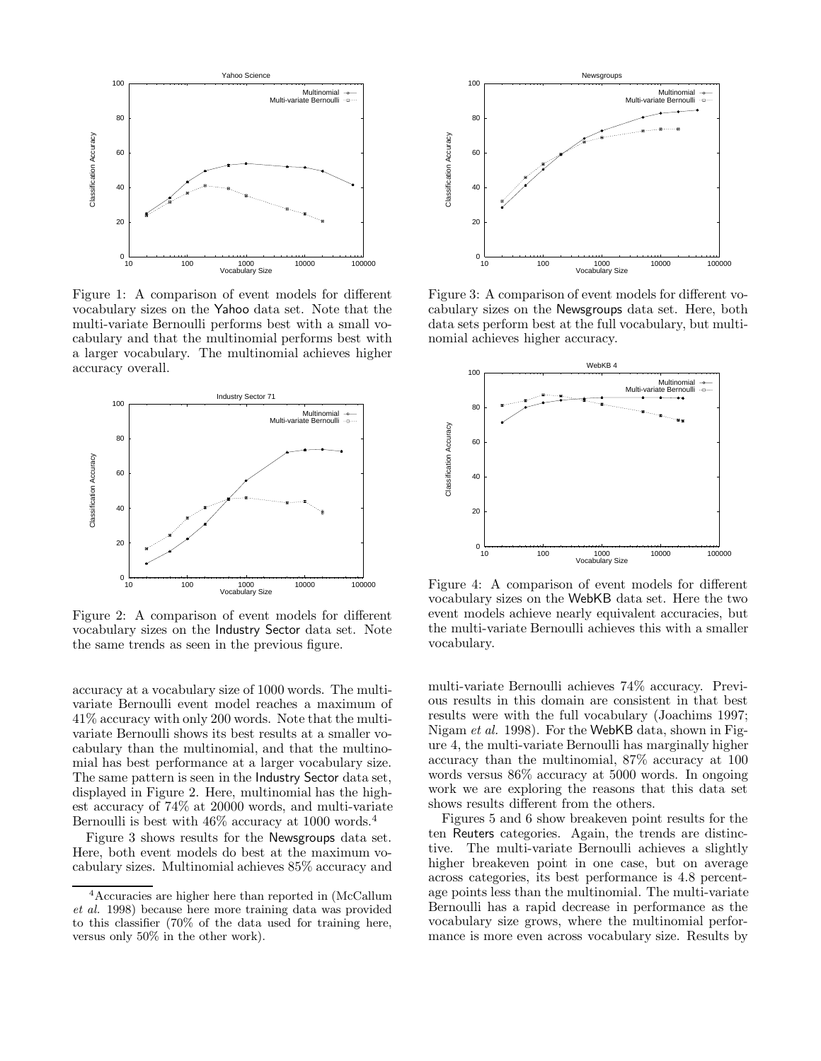

Figure 1: A comparison of event models for different vocabulary sizes on the Yahoo data set. Note that the multi-variate Bernoulli performs best with a small vocabulary and that the multinomial performs best with a larger vocabulary. The multinomial achieves higher accuracy overall.



Figure 2: A comparison of event models for different vocabulary sizes on the Industry Sector data set. Note the same trends as seen in the previous figure.

accuracy at a vocabulary size of 1000 words. The multivariate Bernoulli event model reaches a maximum of 41% accuracy with only 200 words. Note that the multivariate Bernoulli shows its best results at a smaller vocabulary than the multinomial, and that the multinomial has best performance at a larger vocabulary size. The same pattern is seen in the Industry Sector data set, displayed in Figure 2. Here, multinomial has the highest accuracy of 74% at 20000 words, and multi-variate Bernoulli is best with 46% accuracy at 1000 words.<sup>4</sup>

Figure 3 shows results for the Newsgroups data set. Here, both event models do best at the maximum vocabulary sizes. Multinomial achieves 85% accuracy and



Figure 3: A comparison of event models for different vocabulary sizes on the Newsgroups data set. Here, both data sets perform best at the full vocabulary, but multinomial achieves higher accuracy.



Figure 4: A comparison of event models for different vocabulary sizes on the WebKB data set. Here the two event models achieve nearly equivalent accuracies, but the multi-variate Bernoulli achieves this with a smaller vocabulary.

multi-variate Bernoulli achieves 74% accuracy. Previous results in this domain are consistent in that best results were with the full vocabulary (Joachims 1997; Nigam et al. 1998). For the WebKB data, shown in Figure 4, the multi-variate Bernoulli has marginally higher accuracy than the multinomial, 87% accuracy at 100 words versus 86% accuracy at 5000 words. In ongoing work we are exploring the reasons that this data set shows results different from the others.

Figures 5 and 6 show breakeven point results for the ten Reuters categories. Again, the trends are distinctive. The multi-variate Bernoulli achieves a slightly higher breakeven point in one case, but on average across categories, its best performance is 4.8 percentage points less than the multinomial. The multi-variate Bernoulli has a rapid decrease in performance as the vocabulary size grows, where the multinomial performance is more even across vocabulary size. Results by

<sup>4</sup>Accuracies are higher here than reported in (McCallum et al. 1998) because here more training data was provided to this classifier (70% of the data used for training here, versus only 50% in the other work).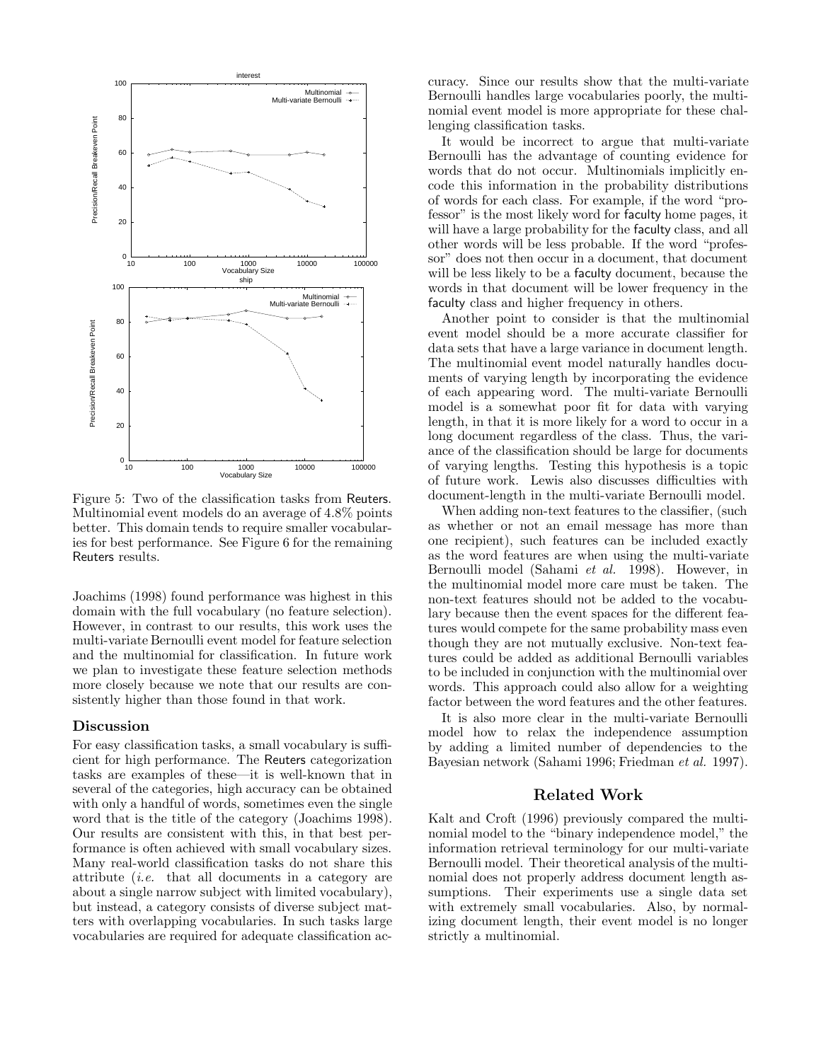

Figure 5: Two of the classification tasks from Reuters. Multinomial event models do an average of 4.8% points better. This domain tends to require smaller vocabularies for best performance. See Figure 6 for the remaining Reuters results.

Joachims (1998) found performance was highest in this domain with the full vocabulary (no feature selection). However, in contrast to our results, this work uses the multi-variate Bernoulli event model for feature selection and the multinomial for classification. In future work we plan to investigate these feature selection methods more closely because we note that our results are consistently higher than those found in that work.

#### **Discussion**

For easy classification tasks, a small vocabulary is sufficient for high performance. The Reuters categorization tasks are examples of these—it is well-known that in several of the categories, high accuracy can be obtained with only a handful of words, sometimes even the single word that is the title of the category (Joachims 1998). Our results are consistent with this, in that best performance is often achieved with small vocabulary sizes. Many real-world classification tasks do not share this attribute (i.e. that all documents in a category are about a single narrow subject with limited vocabulary), but instead, a category consists of diverse subject matters with overlapping vocabularies. In such tasks large vocabularies are required for adequate classification accuracy. Since our results show that the multi-variate Bernoulli handles large vocabularies poorly, the multinomial event model is more appropriate for these challenging classification tasks.

It would be incorrect to argue that multi-variate Bernoulli has the advantage of counting evidence for words that do not occur. Multinomials implicitly encode this information in the probability distributions of words for each class. For example, if the word "professor" is the most likely word for faculty home pages, it will have a large probability for the faculty class, and all other words will be less probable. If the word "professor" does not then occur in a document, that document will be less likely to be a faculty document, because the words in that document will be lower frequency in the faculty class and higher frequency in others.

Another point to consider is that the multinomial event model should be a more accurate classifier for data sets that have a large variance in document length. The multinomial event model naturally handles documents of varying length by incorporating the evidence of each appearing word. The multi-variate Bernoulli model is a somewhat poor fit for data with varying length, in that it is more likely for a word to occur in a long document regardless of the class. Thus, the variance of the classification should be large for documents of varying lengths. Testing this hypothesis is a topic of future work. Lewis also discusses difficulties with document-length in the multi-variate Bernoulli model.

When adding non-text features to the classifier, (such as whether or not an email message has more than one recipient), such features can be included exactly as the word features are when using the multi-variate Bernoulli model (Sahami et al. 1998). However, in the multinomial model more care must be taken. The non-text features should not be added to the vocabulary because then the event spaces for the different features would compete for the same probability mass even though they are not mutually exclusive. Non-text features could be added as additional Bernoulli variables to be included in conjunction with the multinomial over words. This approach could also allow for a weighting factor between the word features and the other features.

It is also more clear in the multi-variate Bernoulli model how to relax the independence assumption by adding a limited number of dependencies to the Bayesian network (Sahami 1996; Friedman et al. 1997).

#### **Related Work**

Kalt and Croft (1996) previously compared the multinomial model to the "binary independence model," the information retrieval terminology for our multi-variate Bernoulli model. Their theoretical analysis of the multinomial does not properly address document length assumptions. Their experiments use a single data set with extremely small vocabularies. Also, by normalizing document length, their event model is no longer strictly a multinomial.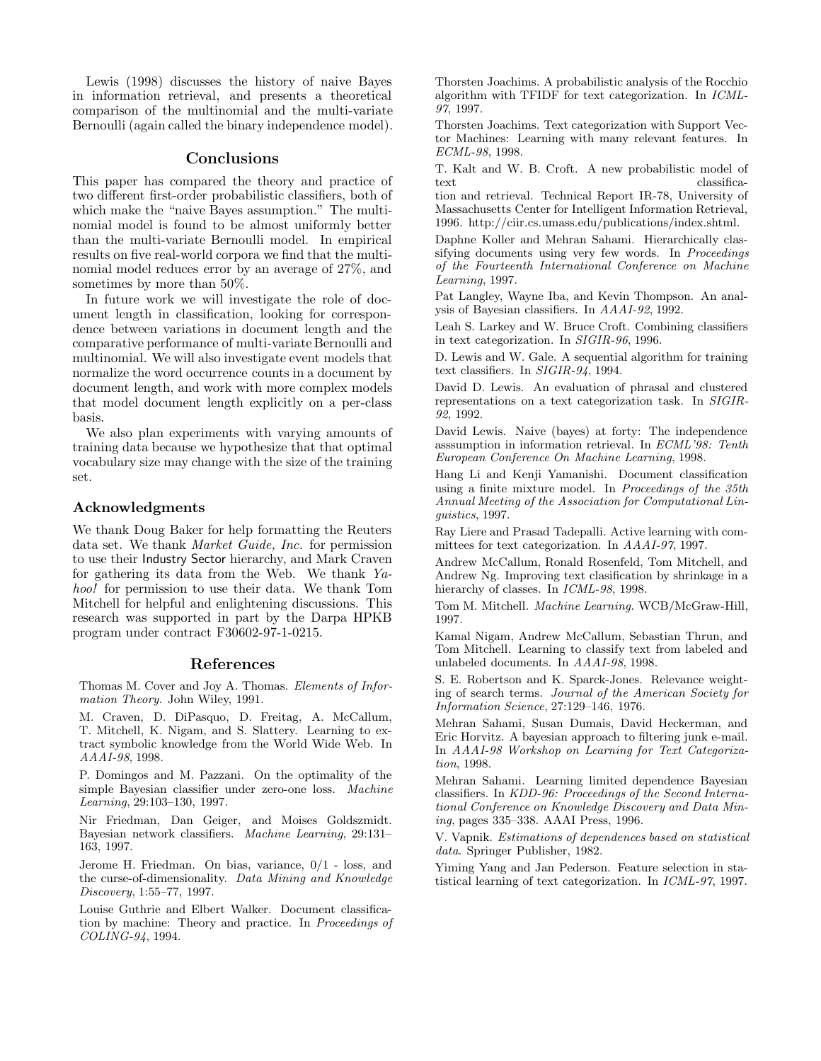Lewis (1998) discusses the history of naive Bayes in information retrieval, and presents a theoretical comparison of the multinomial and the multi-variate Bernoulli (again called the binary independence model).

#### **Conclusions**

This paper has compared the theory and practice of two different first-order probabilistic classifiers, both of which make the "naive Bayes assumption." The multinomial model is found to be almost uniformly better than the multi-variate Bernoulli model. In empirical results on five real-world corpora we find that the multinomial model reduces error by an average of 27%, and sometimes by more than 50%.

In future work we will investigate the role of document length in classification, looking for correspondence between variations in document length and the comparative performance of multi-variate Bernoulli and multinomial. We will also investigate event models that normalize the word occurrence counts in a document by document length, and work with more complex models that model document length explicitly on a per-class basis.

We also plan experiments with varying amounts of training data because we hypothesize that that optimal vocabulary size may change with the size of the training set.

# **Acknowledgments**

We thank Doug Baker for help formatting the Reuters data set. We thank Market Guide, Inc. for permission to use their Industry Sector hierarchy, and Mark Craven for gathering its data from the Web. We thank Yahoo! for permission to use their data. We thank Tom Mitchell for helpful and enlightening discussions. This research was supported in part by the Darpa HPKB program under contract F30602-97-1-0215.

### **References**

Thomas M. Cover and Joy A. Thomas. Elements of Information Theory. John Wiley, 1991.

M. Craven, D. DiPasquo, D. Freitag, A. McCallum, T. Mitchell, K. Nigam, and S. Slattery. Learning to extract symbolic knowledge from the World Wide Web. In AAAI-98, 1998.

P. Domingos and M. Pazzani. On the optimality of the simple Bayesian classifier under zero-one loss. Machine Learning, 29:103–130, 1997.

Nir Friedman, Dan Geiger, and Moises Goldszmidt. Bayesian network classifiers. Machine Learning, 29:131– 163, 1997.

Jerome H. Friedman. On bias, variance, 0/1 - loss, and the curse-of-dimensionality. Data Mining and Knowledge Discovery, 1:55–77, 1997.

Louise Guthrie and Elbert Walker. Document classification by machine: Theory and practice. In Proceedings of COLING-94, 1994.

Thorsten Joachims. A probabilistic analysis of the Rocchio algorithm with TFIDF for text categorization. In ICML-97, 1997.

Thorsten Joachims. Text categorization with Support Vector Machines: Learning with many relevant features. In ECML-98, 1998.

T. Kalt and W. B. Croft. A new probabilistic model of text classifica-

tion and retrieval. Technical Report IR-78, University of Massachusetts Center for Intelligent Information Retrieval, 1996. http://ciir.cs.umass.edu/publications/index.shtml.

Daphne Koller and Mehran Sahami. Hierarchically classifying documents using very few words. In Proceedings of the Fourteenth International Conference on Machine Learning, 1997.

Pat Langley, Wayne Iba, and Kevin Thompson. An analysis of Bayesian classifiers. In AAAI-92, 1992.

Leah S. Larkey and W. Bruce Croft. Combining classifiers in text categorization. In SIGIR-96, 1996.

D. Lewis and W. Gale. A sequential algorithm for training text classifiers. In SIGIR-94, 1994.

David D. Lewis. An evaluation of phrasal and clustered representations on a text categorization task. In SIGIR-92, 1992.

David Lewis. Naive (bayes) at forty: The independence asssumption in information retrieval. In ECML'98: Tenth European Conference On Machine Learning, 1998.

Hang Li and Kenji Yamanishi. Document classification using a finite mixture model. In Proceedings of the 35th Annual Meeting of the Association for Computational Linguistics, 1997.

Ray Liere and Prasad Tadepalli. Active learning with committees for text categorization. In AAAI-97, 1997.

Andrew McCallum, Ronald Rosenfeld, Tom Mitchell, and Andrew Ng. Improving text clasification by shrinkage in a hierarchy of classes. In ICML-98, 1998.

Tom M. Mitchell. Machine Learning. WCB/McGraw-Hill, 1997.

Kamal Nigam, Andrew McCallum, Sebastian Thrun, and Tom Mitchell. Learning to classify text from labeled and unlabeled documents. In AAAI-98, 1998.

S. E. Robertson and K. Sparck-Jones. Relevance weighting of search terms. Journal of the American Society for Information Science, 27:129–146, 1976.

Mehran Sahami, Susan Dumais, David Heckerman, and Eric Horvitz. A bayesian approach to filtering junk e-mail. In AAAI-98 Workshop on Learning for Text Categorization, 1998.

Mehran Sahami. Learning limited dependence Bayesian classifiers. In KDD-96: Proceedings of the Second International Conference on Knowledge Discovery and Data Mining, pages 335–338. AAAI Press, 1996.

V. Vapnik. Estimations of dependences based on statistical data. Springer Publisher, 1982.

Yiming Yang and Jan Pederson. Feature selection in statistical learning of text categorization. In ICML-97, 1997.